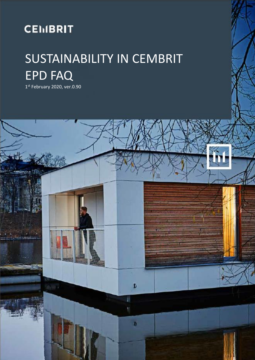# **CEMBRIT**

# SUSTAINABILITY IN CEMBRIT EPD FAQ

1 st February 2020, ver.0.90